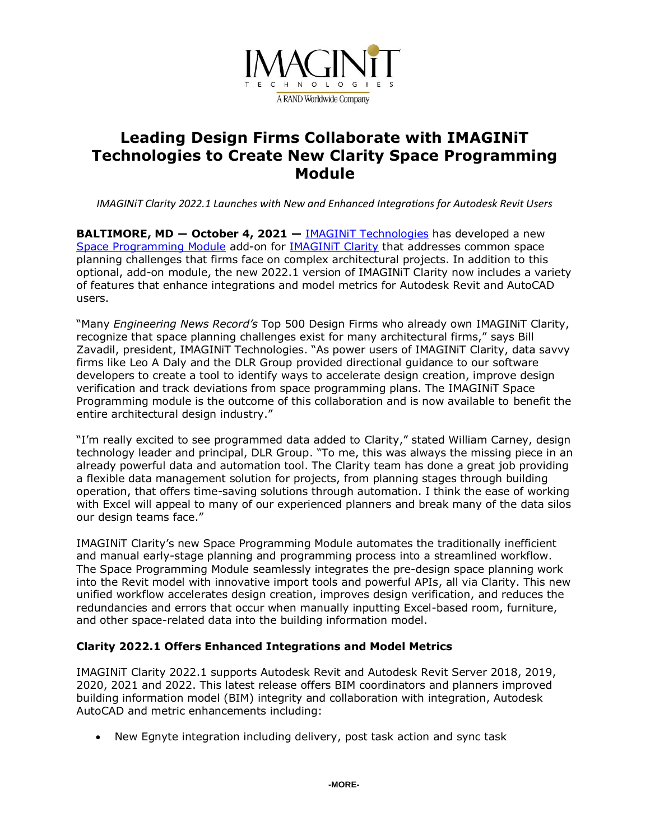

# **Leading Design Firms Collaborate with IMAGINiT Technologies to Create New Clarity Space Programming Module**

*IMAGINiT Clarity 2022.1 Launches with New and Enhanced Integrations for Autodesk Revit Users*

**BALTIMORE, MD - October 4, 2021 - IMAGINIT Technologies has developed a new** [Space Programming Module](https://www.imaginit.com/software/imaginit-utilities-other-products/clarity-space-programming-module?utm_source=dynamic&utm_medium=press-release&utm_campaign=space-programming) add-on for [IMAGINiT Clarity](https://www.imaginit.com/software/imaginit-utilities-other-products/clarity?utm_source=dynamic&utm_medium=press-release&utm_campaign=space-programming) that addresses common space planning challenges that firms face on complex architectural projects. In addition to this optional, add-on module, the new 2022.1 version of IMAGINiT Clarity now includes a variety of features that enhance integrations and model metrics for Autodesk Revit and AutoCAD users.

"Many *Engineering News Record's* Top 500 Design Firms who already own IMAGINiT Clarity, recognize that space planning challenges exist for many architectural firms," says Bill Zavadil, president, IMAGINiT Technologies. "As power users of IMAGINiT Clarity, data savvy firms like Leo A Daly and the DLR Group provided directional guidance to our software developers to create a tool to identify ways to accelerate design creation, improve design verification and track deviations from space programming plans. The IMAGINiT Space Programming module is the outcome of this collaboration and is now available to benefit the entire architectural design industry."

"I'm really excited to see programmed data added to Clarity," stated William Carney, design technology leader and principal, DLR Group. "To me, this was always the missing piece in an already powerful data and automation tool. The Clarity team has done a great job providing a flexible data management solution for projects, from planning stages through building operation, that offers time-saving solutions through automation. I think the ease of working with Excel will appeal to many of our experienced planners and break many of the data silos our design teams face."

IMAGINiT Clarity's new Space Programming Module automates the traditionally inefficient and manual early-stage planning and programming process into a streamlined workflow. The Space Programming Module seamlessly integrates the pre-design space planning work into the Revit model with innovative import tools and powerful APIs, all via Clarity. This new unified workflow accelerates design creation, improves design verification, and reduces the redundancies and errors that occur when manually inputting Excel-based room, furniture, and other space-related data into the building information model.

### **Clarity 2022.1 Offers Enhanced Integrations and Model Metrics**

IMAGINiT Clarity 2022.1 supports Autodesk Revit and Autodesk Revit Server 2018, 2019, 2020, 2021 and 2022. This latest release offers BIM coordinators and planners improved building information model (BIM) integrity and collaboration with integration, Autodesk AutoCAD and metric enhancements including:

• New Egnyte integration including delivery, post task action and sync task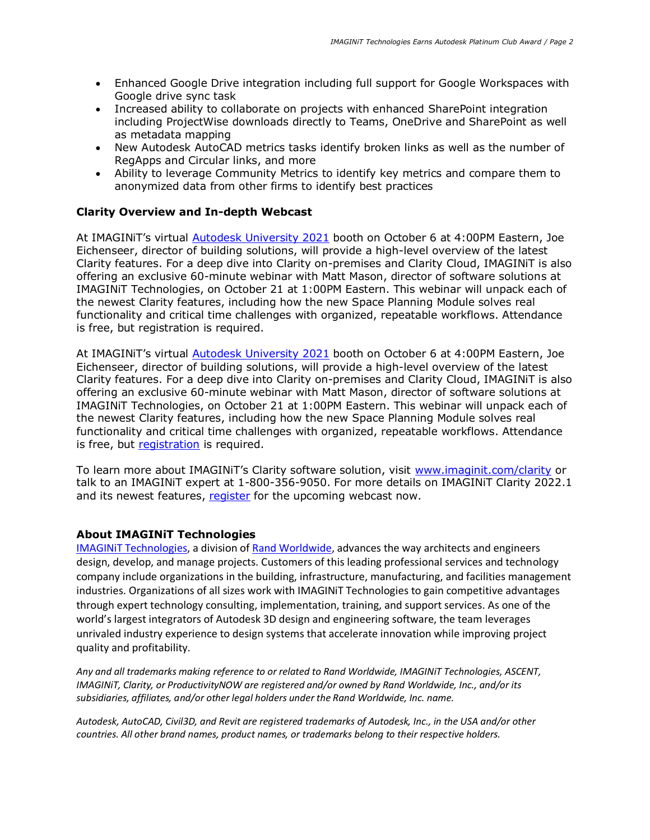- Enhanced Google Drive integration including full support for Google Workspaces with Google drive sync task
- Increased ability to collaborate on projects with enhanced SharePoint integration including ProjectWise downloads directly to Teams, OneDrive and SharePoint as well as metadata mapping
- New Autodesk AutoCAD metrics tasks identify broken links as well as the number of RegApps and Circular links, and more
- Ability to leverage Community Metrics to identify key metrics and compare them to anonymized data from other firms to identify best practices

#### **Clarity Overview and In-depth Webcast**

At IMAGINiT's virtual [Autodesk University 2021](https://www.autodesk.com/autodesk-university/) booth on October 6 at 4:00PM Eastern, Joe Eichenseer, director of building solutions, will provide a high-level overview of the latest Clarity features. For a deep dive into Clarity on-premises and Clarity Cloud, IMAGINiT is also offering an exclusive 60-minute webinar with Matt Mason, director of software solutions at IMAGINiT Technologies, on October 21 at 1:00PM Eastern. This webinar will unpack each of the newest Clarity features, including how the new Space Planning Module solves real functionality and critical time challenges with organized, repeatable workflows. Attendance is free, but registration is required.

At IMAGINIT's virtual **[Autodesk University 2021](https://www.autodesk.com/autodesk-university/)** booth on October 6 at 4:00PM Eastern, Joe Eichenseer, director of building solutions, will provide a high-level overview of the latest Clarity features. For a deep dive into Clarity on-premises and Clarity Cloud, IMAGINiT is also offering an exclusive 60-minute webinar with Matt Mason, director of software solutions at IMAGINiT Technologies, on October 21 at 1:00PM Eastern. This webinar will unpack each of the newest Clarity features, including how the new Space Planning Module solves real functionality and critical time challenges with organized, repeatable workflows. Attendance is free, but [registration](https://attendee.gotowebinar.com/register/1599735958871495436?source=a2u4u000000zwSdAAI) is required.

To learn more about IMAGINiT's Clarity software solution, visit [www.imaginit.com/clarity](https://www.imaginit.com/software/imaginit-utilities-other-products/clarity?utm_source=dynamic&utm_medium=press-release&utm_campaign=space-programming) or talk to an IMAGINiT expert at 1-800-356-9050. For more details on IMAGINiT Clarity 2022.1 and its newest features, [register](https://attendee.gotowebinar.com/register/1599735958871495436?source=a2u4u000000zwSdAAI) for the upcoming webcast now.

#### **About IMAGINiT Technologies**

[IMAGINiT Technologies,](https://www.imaginit.com/?utm_source=dynamic&utm_medium=press-release&utm_campaign=space-programming) a division o[f Rand Worldwide,](https://rand.com/?utm_source=dynamic&utm_medium=press-release&utm_campaign=space-programming) advances the way architects and engineers design, develop, and manage projects. Customers of this leading professional services and technology company include organizations in the building, infrastructure, manufacturing, and facilities management industries. Organizations of all sizes work with IMAGINiT Technologies to gain competitive advantages through expert technology consulting, implementation, training, and support services. As one of the world's largest integrators of Autodesk 3D design and engineering software, the team leverages unrivaled industry experience to design systems that accelerate innovation while improving project quality and profitability.

*Any and all trademarks making reference to or related to Rand Worldwide, IMAGINiT Technologies, ASCENT, IMAGINiT, Clarity, or ProductivityNOW are registered and/or owned by Rand Worldwide, Inc., and/or its subsidiaries, affiliates, and/or other legal holders under the Rand Worldwide, Inc. name.* 

*Autodesk, AutoCAD, Civil3D, and Revit are registered trademarks of Autodesk, Inc., in the USA and/or other countries. All other brand names, product names, or trademarks belong to their respective holders.*